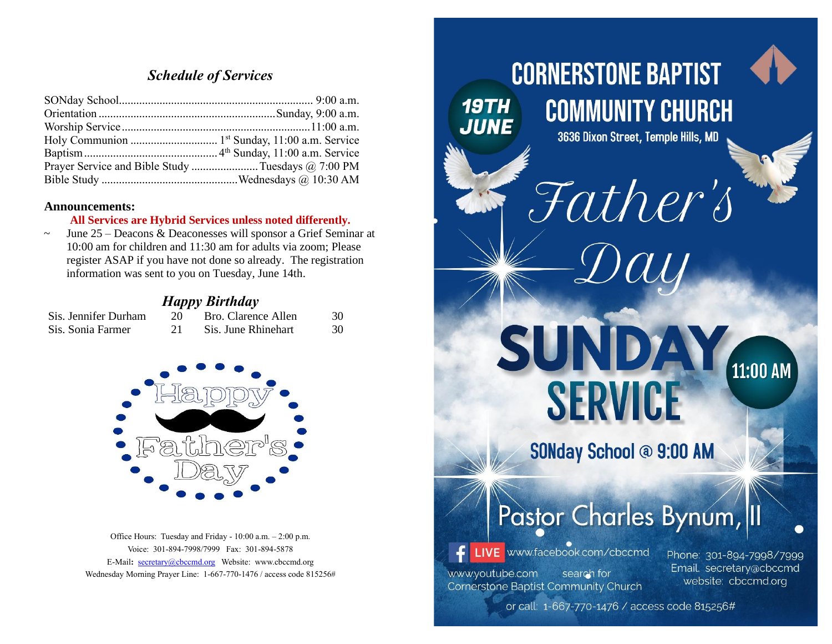# *Schedule of Services*

| Prayer Service and Bible Study Tuesdays @ 7:00 PM |
|---------------------------------------------------|
|                                                   |

#### **Announcements:**

#### **All Services are Hybrid Services unless noted differently.**

 $\sim$  June 25 – Deacons & Deaconesses will sponsor a Grief Seminar at 10:00 am for children and 11:30 am for adults via zoom; Please register ASAP if you have not done so already. The registration information was sent to you on Tuesday, June 14th.

### *Happy Birthday*

| Sis. Jennifer Durham | Bro. Clarence Allen | 30 |
|----------------------|---------------------|----|
| Sis. Sonia Farmer    | Sis. June Rhinehart | 30 |



Office Hours: Tuesday and Friday - 10:00 a.m. – 2:00 p.m. Voice: 301-894-7998/7999 Fax: 301-894-5878 E-Mail**:** [secretary@cbccmd.org](mailto:secretary@cbccmd.org) Website: [www.cbccmd.org](http://www.cbccmd.org/) Wednesday Morning Prayer Line: 1-667-770-1476 / access code 815256#



or call: 1-667-770-1476 / access code 815256#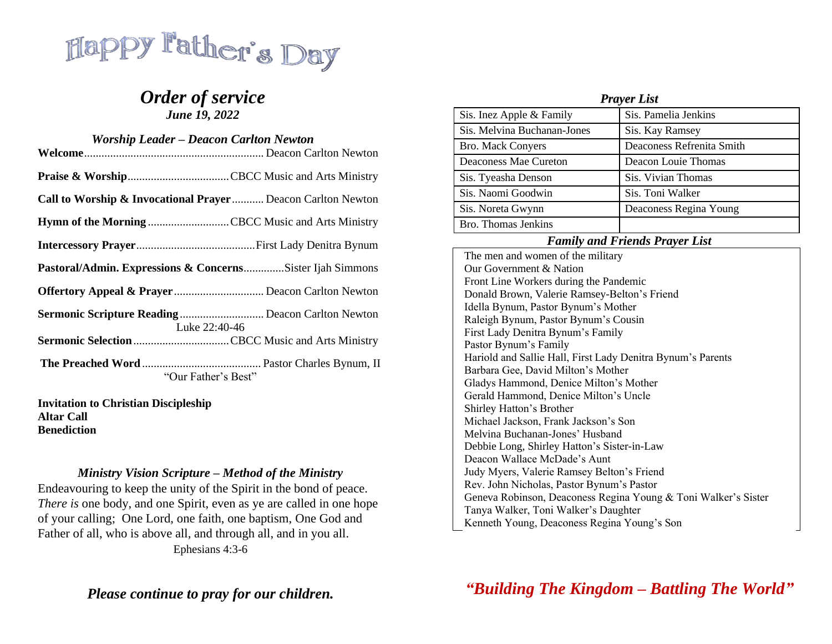

# *Order of service June 19, 2022*

| <b>Worship Leader – Deacon Carlton Newton</b> |                                                                   |  |
|-----------------------------------------------|-------------------------------------------------------------------|--|
|                                               |                                                                   |  |
|                                               |                                                                   |  |
|                                               | Call to Worship & Invocational Prayer  Deacon Carlton Newton      |  |
|                                               | Hymn of the Morning CBCC Music and Arts Ministry                  |  |
|                                               |                                                                   |  |
|                                               | Pastoral/Admin. Expressions & ConcernsSister Ijah Simmons         |  |
|                                               |                                                                   |  |
|                                               | Sermonic Scripture Reading Deacon Carlton Newton<br>Luke 22:40-46 |  |
|                                               | Sermonic Selection CBCC Music and Arts Ministry                   |  |
|                                               | "Our Father's Best"                                               |  |

**Invitation to Christian Discipleship Altar Call Benediction**

### *Ministry Vision Scripture – Method of the Ministry*

[Endeavouring](https://www.kingjamesbibleonline.org/Ephesians-4-3/) to keep the unity of the Spirit in the bond of peace[.](https://www.kingjamesbibleonline.org/Ephesians-4-4/) *There is* one body, and one [Spirit,](https://www.kingjamesbibleonline.org/Ephesians-4-4/) even as ye are called in one hope of your [calling;](https://www.kingjamesbibleonline.org/Ephesians-4-4/) One Lord, one faith, one [baptism,](https://www.kingjamesbibleonline.org/Ephesians-4-5/) One God and Father of all, who is above all, and through all, and in you all. [Ephesians](https://www.kingjamesbibleonline.org/Luke-4-19/) 4:3-6

*Please continue to pray for our children.*

| <b>Prayer List</b>          |                           |  |
|-----------------------------|---------------------------|--|
| Sis. Inez Apple & Family    | Sis. Pamelia Jenkins      |  |
| Sis. Melvina Buchanan-Jones | Sis. Kay Ramsey           |  |
| <b>Bro. Mack Convers</b>    | Deaconess Refrenita Smith |  |
| Deaconess Mae Cureton       | Deacon Louie Thomas       |  |
| Sis. Tyeasha Denson         | Sis. Vivian Thomas        |  |
| Sis. Naomi Goodwin          | Sis. Toni Walker          |  |
| Sis. Noreta Gwynn           | Deaconess Regina Young    |  |
| Bro. Thomas Jenkins         |                           |  |

### *Family and Friends Prayer List*

The men and women of the military Our Government & Nation Front Line Workers during the Pandemic Donald Brown, Valerie Ramsey-Belton's Friend Idella Bynum, Pastor Bynum's Mother Raleigh Bynum, Pastor Bynum's Cousin First Lady Denitra Bynum's Family Pastor Bynum's Family Hariold and Sallie Hall, First Lady Denitra Bynum's Parents Barbara Gee, David Milton's Mother Gladys Hammond, Denice Milton's Mother Gerald Hammond, Denice Milton's Uncle Shirley Hatton's Brother Michael Jackson, Frank Jackson's Son Melvina Buchanan-Jones' Husband Debbie Long, Shirley Hatton's Sister-in-Law Deacon Wallace McDade's Aunt Judy Myers, Valerie Ramsey Belton's Friend Rev. John Nicholas, Pastor Bynum's Pastor Geneva Robinson, Deaconess Regina Young & Toni Walker's Sister Tanya Walker, Toni Walker's Daughter Kenneth Young, Deaconess Regina Young's Son

*"Building The Kingdom – Battling The World"*